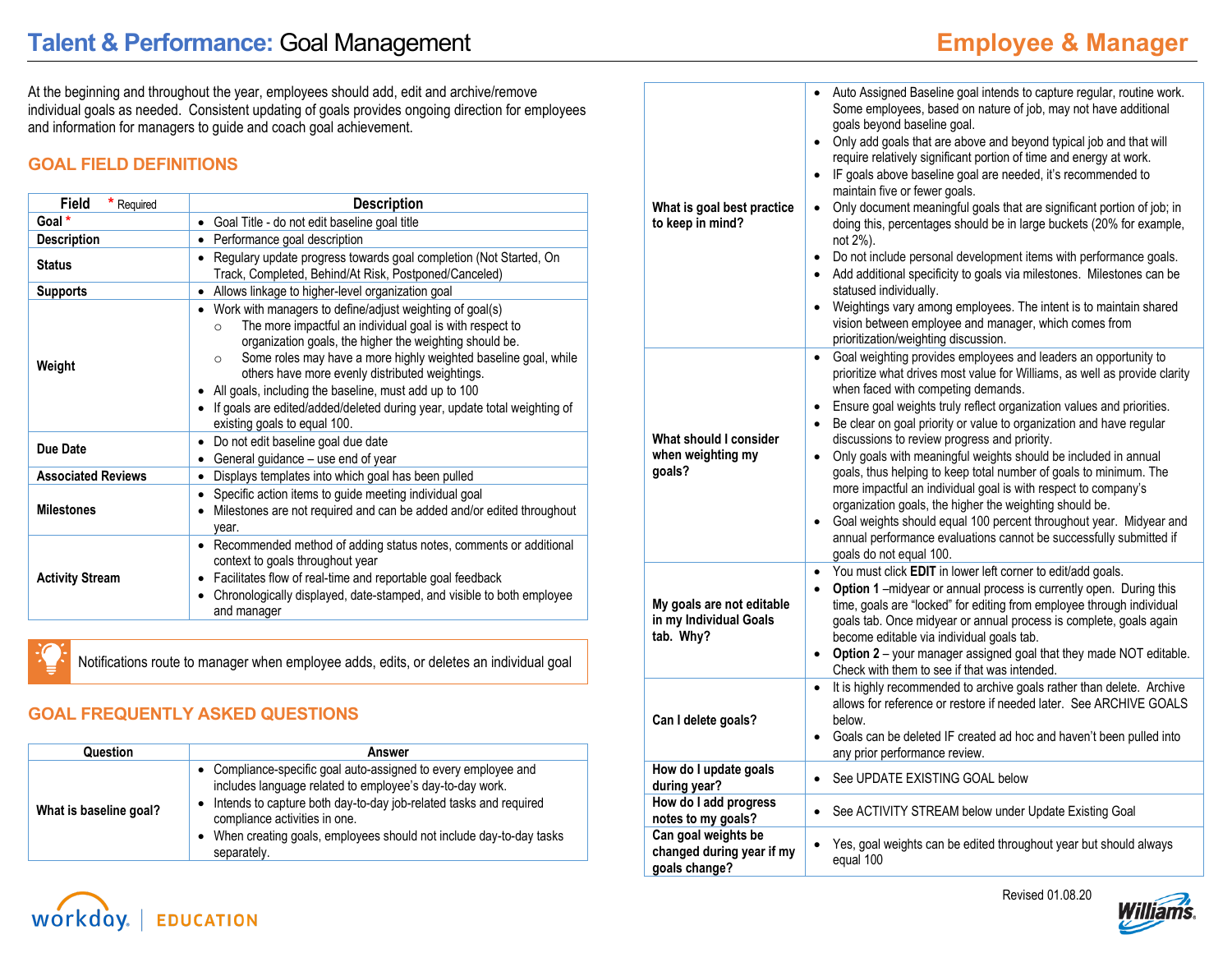At the beginning and throughout the year, employees should add, edit and archive/remove individual goals as needed. Consistent updating of goals provides ongoing direction for employees and information for managers to guide and coach goal achievement.

## **GOAL FIELD DEFINITIONS**

| <b>Field</b><br>* Required | <b>Description</b>                                                                                                                                                                                                                                                                                                                                                                                                                                                                                             |  |  |
|----------------------------|----------------------------------------------------------------------------------------------------------------------------------------------------------------------------------------------------------------------------------------------------------------------------------------------------------------------------------------------------------------------------------------------------------------------------------------------------------------------------------------------------------------|--|--|
| Goal *                     | Goal Title - do not edit baseline goal title<br>$\bullet$                                                                                                                                                                                                                                                                                                                                                                                                                                                      |  |  |
| <b>Description</b>         | Performance goal description<br>$\bullet$                                                                                                                                                                                                                                                                                                                                                                                                                                                                      |  |  |
| <b>Status</b>              | Regulary update progress towards goal completion (Not Started, On<br>$\bullet$<br>Track, Completed, Behind/At Risk, Postponed/Canceled)                                                                                                                                                                                                                                                                                                                                                                        |  |  |
| <b>Supports</b>            | Allows linkage to higher-level organization goal<br>٠                                                                                                                                                                                                                                                                                                                                                                                                                                                          |  |  |
| Weight                     | Work with managers to define/adjust weighting of goal(s)<br>$\bullet$<br>The more impactful an individual goal is with respect to<br>$\Omega$<br>organization goals, the higher the weighting should be.<br>Some roles may have a more highly weighted baseline goal, while<br>$\circ$<br>others have more evenly distributed weightings.<br>All goals, including the baseline, must add up to 100<br>If goals are edited/added/deleted during year, update total weighting of<br>existing goals to equal 100. |  |  |
| Due Date                   | Do not edit baseline goal due date<br>General guidance - use end of year                                                                                                                                                                                                                                                                                                                                                                                                                                       |  |  |
| <b>Associated Reviews</b>  | Displays templates into which goal has been pulled                                                                                                                                                                                                                                                                                                                                                                                                                                                             |  |  |
| <b>Milestones</b>          | Specific action items to guide meeting individual goal<br>Milestones are not required and can be added and/or edited throughout<br>year.                                                                                                                                                                                                                                                                                                                                                                       |  |  |
| <b>Activity Stream</b>     | Recommended method of adding status notes, comments or additional<br>$\bullet$<br>context to goals throughout year<br>Facilitates flow of real-time and reportable goal feedback<br>٠<br>Chronologically displayed, date-stamped, and visible to both employee<br>٠<br>and manager                                                                                                                                                                                                                             |  |  |

Notifications route to manager when employee adds, edits, or deletes an individual goal

## **GOAL FREQUENTLY ASKED QUESTIONS**

**EDUCATION** 

workday.

| Question               | Answer                                                                                                                                                                                                                                                                                                                     |  |
|------------------------|----------------------------------------------------------------------------------------------------------------------------------------------------------------------------------------------------------------------------------------------------------------------------------------------------------------------------|--|
| What is baseline goal? | • Compliance-specific goal auto-assigned to every employee and<br>includes language related to employee's day-to-day work.<br>Intends to capture both day-to-day job-related tasks and required<br>٠<br>compliance activities in one.<br>When creating goals, employees should not include day-to-day tasks<br>separately. |  |

| What is goal best practice<br>to keep in mind?                    | Auto Assigned Baseline goal intends to capture regular, routine work.<br>$\bullet$<br>Some employees, based on nature of job, may not have additional<br>goals beyond baseline goal.<br>Only add goals that are above and beyond typical job and that will<br>$\bullet$<br>require relatively significant portion of time and energy at work.<br>IF goals above baseline goal are needed, it's recommended to<br>$\bullet$<br>maintain five or fewer goals.<br>Only document meaningful goals that are significant portion of job; in<br>$\bullet$<br>doing this, percentages should be in large buckets (20% for example,<br>not 2%).<br>Do not include personal development items with performance goals.<br>$\bullet$<br>Add additional specificity to goals via milestones. Milestones can be<br>$\bullet$<br>statused individually.<br>Weightings vary among employees. The intent is to maintain shared<br>$\bullet$<br>vision between employee and manager, which comes from<br>prioritization/weighting discussion. |
|-------------------------------------------------------------------|-----------------------------------------------------------------------------------------------------------------------------------------------------------------------------------------------------------------------------------------------------------------------------------------------------------------------------------------------------------------------------------------------------------------------------------------------------------------------------------------------------------------------------------------------------------------------------------------------------------------------------------------------------------------------------------------------------------------------------------------------------------------------------------------------------------------------------------------------------------------------------------------------------------------------------------------------------------------------------------------------------------------------------|
| What should I consider<br>when weighting my<br>qoals?             | Goal weighting provides employees and leaders an opportunity to<br>$\bullet$<br>prioritize what drives most value for Williams, as well as provide clarity<br>when faced with competing demands.<br>Ensure goal weights truly reflect organization values and priorities.<br>٠<br>Be clear on goal priority or value to organization and have regular<br>$\bullet$<br>discussions to review progress and priority.<br>Only goals with meaningful weights should be included in annual<br>$\bullet$<br>goals, thus helping to keep total number of goals to minimum. The<br>more impactful an individual goal is with respect to company's<br>organization goals, the higher the weighting should be.<br>Goal weights should equal 100 percent throughout year. Midyear and<br>$\bullet$<br>annual performance evaluations cannot be successfully submitted if<br>goals do not equal 100.                                                                                                                                    |
| My goals are not editable<br>in my Individual Goals<br>tab. Why?  | You must click EDIT in lower left corner to edit/add goals.<br>$\bullet$<br><b>Option 1</b> – midyear or annual process is currently open. During this<br>$\bullet$<br>time, goals are "locked" for editing from employee through individual<br>goals tab. Once midyear or annual process is complete, goals again<br>become editable via individual goals tab.<br>Option 2 - your manager assigned goal that they made NOT editable.<br>$\bullet$<br>Check with them to see if that was intended.                                                                                                                                                                                                                                                                                                                                                                                                                                                                                                                          |
| Can I delete goals?                                               | It is highly recommended to archive goals rather than delete. Archive<br>$\bullet$<br>allows for reference or restore if needed later. See ARCHIVE GOALS<br>below.<br>Goals can be deleted IF created ad hoc and haven't been pulled into<br>$\bullet$<br>any prior performance review.                                                                                                                                                                                                                                                                                                                                                                                                                                                                                                                                                                                                                                                                                                                                     |
| How do I update goals<br>during year?                             | See UPDATE EXISTING GOAL below<br>$\bullet$                                                                                                                                                                                                                                                                                                                                                                                                                                                                                                                                                                                                                                                                                                                                                                                                                                                                                                                                                                                 |
| How do I add progress<br>notes to my goals?                       | See ACTIVITY STREAM below under Update Existing Goal<br>$\bullet$                                                                                                                                                                                                                                                                                                                                                                                                                                                                                                                                                                                                                                                                                                                                                                                                                                                                                                                                                           |
| Can goal weights be<br>changed during year if my<br>goals change? | Yes, goal weights can be edited throughout year but should always<br>$\bullet$<br>equal 100                                                                                                                                                                                                                                                                                                                                                                                                                                                                                                                                                                                                                                                                                                                                                                                                                                                                                                                                 |



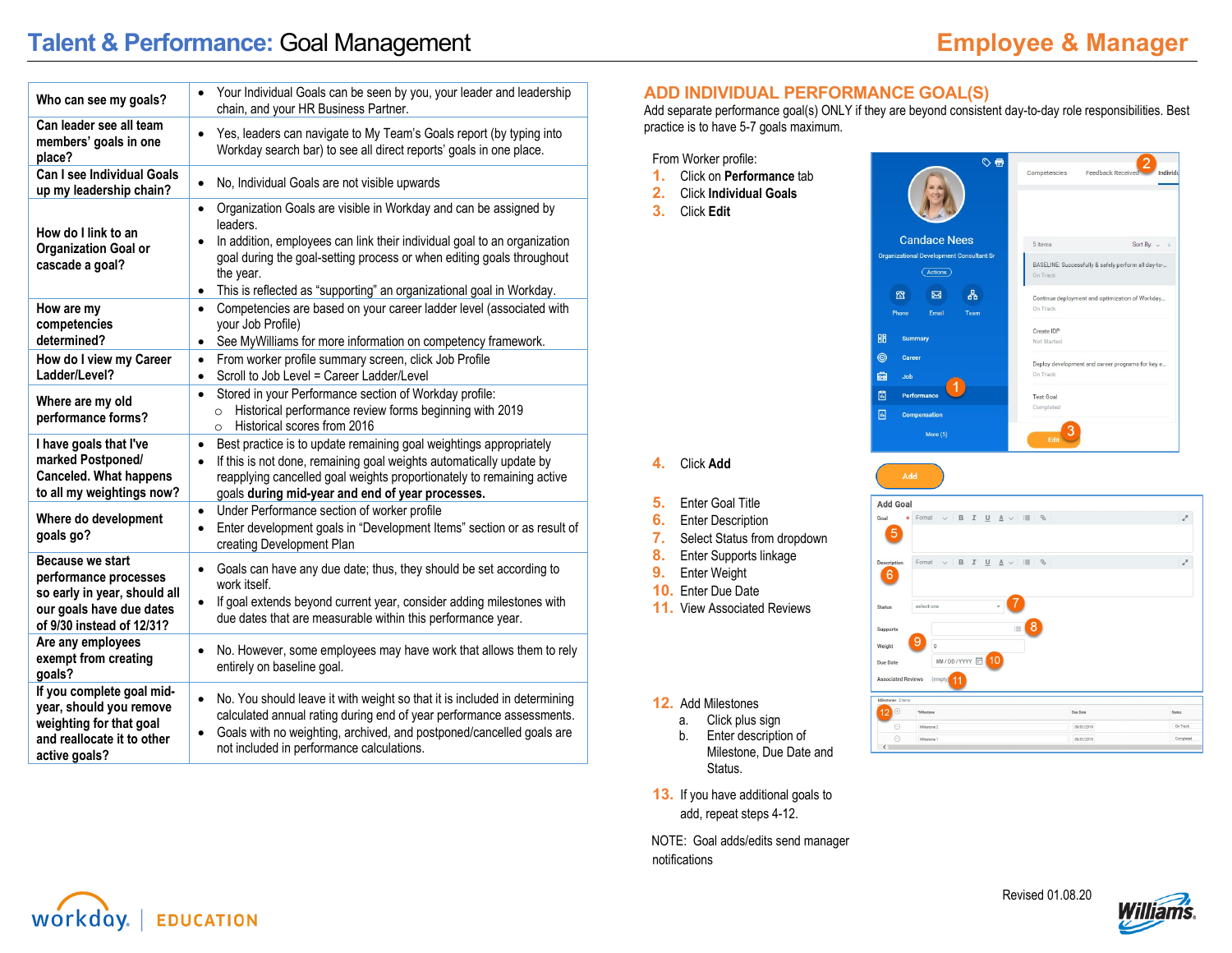# **Talent & Performance:** Goal Management **Employee & Manager**

| Who can see my goals?                                                                                                              | Your Individual Goals can be seen by you, your leader and leadership<br>$\bullet$<br>chain, and your HR Business Partner.                                                                                                                                                                                                                                     |
|------------------------------------------------------------------------------------------------------------------------------------|---------------------------------------------------------------------------------------------------------------------------------------------------------------------------------------------------------------------------------------------------------------------------------------------------------------------------------------------------------------|
| Can leader see all team<br>members' goals in one<br>place?                                                                         | Yes, leaders can navigate to My Team's Goals report (by typing into<br>$\bullet$<br>Workday search bar) to see all direct reports' goals in one place.                                                                                                                                                                                                        |
| <b>Can I see Individual Goals</b><br>up my leadership chain?                                                                       | No, Individual Goals are not visible upwards<br>$\bullet$                                                                                                                                                                                                                                                                                                     |
| How do I link to an<br><b>Organization Goal or</b><br>cascade a goal?                                                              | Organization Goals are visible in Workday and can be assigned by<br>$\bullet$<br>leaders.<br>In addition, employees can link their individual goal to an organization<br>$\bullet$<br>goal during the goal-setting process or when editing goals throughout<br>the year.<br>This is reflected as "supporting" an organizational goal in Workday.<br>$\bullet$ |
| How are my<br>competencies<br>determined?                                                                                          | Competencies are based on your career ladder level (associated with<br>$\bullet$<br>your Job Profile)<br>See MyWilliams for more information on competency framework.<br>$\bullet$                                                                                                                                                                            |
| How do I view my Career<br>Ladder/Level?                                                                                           | From worker profile summary screen, click Job Profile<br>$\bullet$<br>Scroll to Job Level = Career Ladder/Level<br>$\bullet$                                                                                                                                                                                                                                  |
| Where are my old<br>performance forms?                                                                                             | Stored in your Performance section of Workday profile:<br>$\bullet$<br>Historical performance review forms beginning with 2019<br>$\circ$<br>Historical scores from 2016<br>$\circ$                                                                                                                                                                           |
| I have goals that I've<br>marked Postponed/<br><b>Canceled. What happens</b><br>to all my weightings now?                          | Best practice is to update remaining goal weightings appropriately<br>$\bullet$<br>If this is not done, remaining goal weights automatically update by<br>$\bullet$<br>reapplying cancelled goal weights proportionately to remaining active<br>goals during mid-year and end of year processes.                                                              |
| Where do development<br>goals go?                                                                                                  | Under Performance section of worker profile<br>$\bullet$<br>Enter development goals in "Development Items" section or as result of<br>$\bullet$<br>creating Development Plan                                                                                                                                                                                  |
| Because we start<br>performance processes<br>so early in year, should all<br>our goals have due dates<br>of 9/30 instead of 12/31? | Goals can have any due date; thus, they should be set according to<br>$\bullet$<br>work itself.<br>If goal extends beyond current year, consider adding milestones with<br>$\bullet$<br>due dates that are measurable within this performance year.                                                                                                           |
| Are any employees<br>exempt from creating<br>qoals?                                                                                | No. However, some employees may have work that allows them to rely<br>$\bullet$<br>entirely on baseline goal.                                                                                                                                                                                                                                                 |
| If you complete goal mid-<br>year, should you remove<br>weighting for that goal<br>and reallocate it to other<br>active goals?     | No. You should leave it with weight so that it is included in determining<br>$\bullet$<br>calculated annual rating during end of year performance assessments.<br>Goals with no weighting, archived, and postponed/cancelled goals are<br>$\bullet$<br>not included in performance calculations.                                                              |

#### **ADD INDIVIDUAL PERFORMANCE GOAL(S)**

Add separate performance goal(s) ONLY if they are beyond consistent day-to-day role responsibilities. Best practice is to have 5-7 goals maximum.

嘂

 $\circledcirc$ 

Ġ.

圖

圖

From Worker profile:

- **1.** Click on **Performance** tab
- **2.** Click **Individual Goals**
- **3.** Click **Edit**



#### **4.** Click **Add**

- **5.** Enter Goal Title
- **6.** Enter Description
- **7.** Select Status from dropdown
- **8.** Enter Supports linkage
- **9.** Enter Weight
- **10.** Enter Due Date
- **11.** View Associated Reviews



#### **12.** Add Milestones

- a. Click plus sign
- b. Enter description of Milestone, Due Date and Status.
- **13.** If you have additional goals to add, repeat steps 4-12.

NOTE: Goal adds/edits send manager notifications

## workday. **EDUCATION**



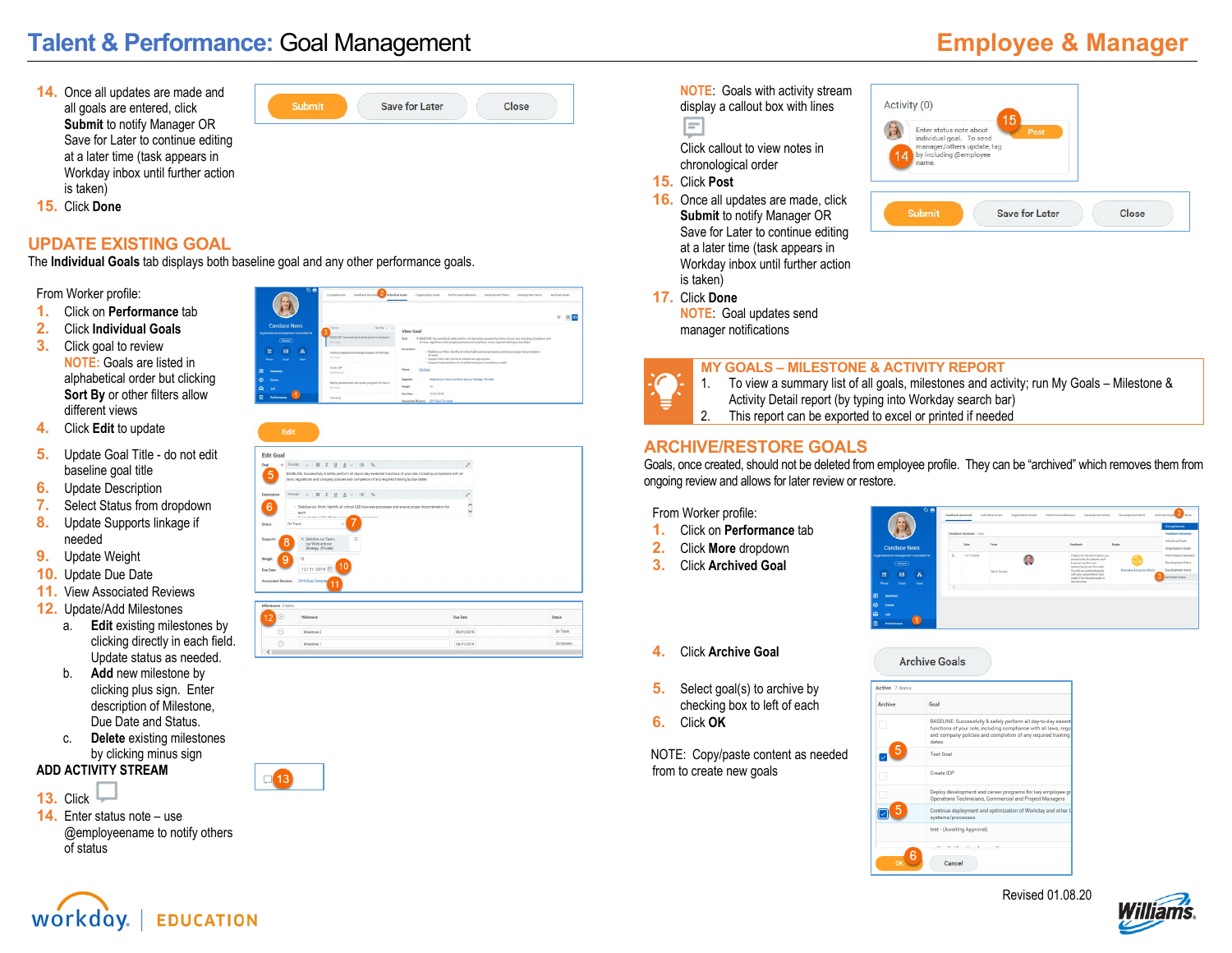# **Talent & Performance:** Goal Management **Employee & Manager**

**14.** Once all updates are made and all goals are entered, click **Submit** to notify Manager OR Save for Later to continue editing at a later time (task appears in Workday inbox until further action is taken)

| <b>Save for Later</b> | $n_{\text{new}}$ |
|-----------------------|------------------|
|                       |                  |

**15.** Click **Done**

### **UPDATE EXISTING GOAL**

The **Individual Goals** tab displays both baseline goal and any other performance goals.

From Worker profile:

- **1.** Click on **Performance** tab
- **2.** Click **Individual Goals**
- **3.** Click goal to review **NOTE:** Goals are listed in alphabetical order but clicking **Sort By** or other filters allow different views
- **4.** Click **Edit** to update
- **5.** Update Goal Title do not edit baseline goal title
- **6.** Update Description<br>**7.** Select Status from o
- **7.** Select Status from dropdown
- **8.** Update Supports linkage if needed
- **9.** Update Weight
- **10.** Update Due Date
- **11.** View Associated Reviews
- **12.** Update/Add Milestones
	- a. **Edit** existing milestones by clicking directly in each field. Update status as needed.
	- b. **Add** new milestone by clicking plus sign. Enter description of Milestone, Due Date and Status.
	- **Delete** existing milestones by clicking minus sign

#### **ADD ACTIVITY STREAM**

- **13.** Click
- **14.** Enter status note use @employeename to notify others of status



| <b>Edit Goal</b>          |                                                                                                                                                                                                                        |                 |        |
|---------------------------|------------------------------------------------------------------------------------------------------------------------------------------------------------------------------------------------------------------------|-----------------|--------|
| Goal<br>÷                 |                                                                                                                                                                                                                        | s               |        |
| 5                         | BASELINE: Successfully & safely perform all day-to-day essential functions of your role, including compliance with all<br>laws, regulations and company policies and completion of any required training by due dates. |                 |        |
| Description               |                                                                                                                                                                                                                        | $\mathcal{J}$   |        |
| 6                         | - Stabilize our Work: Identify all critical L&D business processes and ensure proper documentation for<br>each.<br>Processed and contribution of the contract of the contract of<br><b>Management</b>                  | $\hat{\cdot}$   |        |
| Status                    | On Track                                                                                                                                                                                                               |                 |        |
| Supports                  | E<br>X Stabilize our Team<br>8<br>our Work and our<br>Strategy, (Private)                                                                                                                                              |                 |        |
| <b>Weight</b>             | 9<br>15                                                                                                                                                                                                                |                 |        |
| Due Date                  | 10<br>12/31/2019 日                                                                                                                                                                                                     |                 |        |
| <b>Associated Reviews</b> | 2019 Goal Templaty<br>11                                                                                                                                                                                               |                 |        |
|                           |                                                                                                                                                                                                                        |                 |        |
| Milestones 2 herrs        |                                                                                                                                                                                                                        |                 |        |
| 12<br>œ                   | *Milestrow                                                                                                                                                                                                             | <b>Due Date</b> | Status |
|                           |                                                                                                                                                                                                                        | $\sim$ $\sim$   |        |

asmunna.

**NOTE**: Goals with activity stream display a callout box with lines ⊫

Click callout to view notes in chronological order

**15.** Click **Post**

**17.** Click **Done**

**16.** Once all updates are made, click **Submit** to notify Manager OR Save for Later to continue editing at a later time (task appears in Workday inbox until further action is taken)

**NOTE**: Goal updates send



manager notifications

# **MY GOALS – MILESTONE & ACTIVITY REPORT**

- 
- 1. To view a summary list of all goals, milestones and activity; run My Goals Milestone & Activity Detail report (by typing into Workday search bar)
- 2. This report can be exported to excel or printed if needed

#### **ARCHIVE/RESTORE GOALS**

Goals, once created, should not be deleted from employee profile. They can be "archived" which removes them from ongoing review and allows for later review or restore.

**Archive Goals** 

From Worker profile:

- **1.** Click on **Performance** tab
- **2.** Click **More** dropdown
- **3.** Click **Archived Goal**

| ▽罒<br>CS.                                             |                        | Enerthern Beneived                                        | Feedback Received 1 nm | Individual Goals<br>Organization Goals | Performance Reviews<br>Development Plans | Development Earns                                                                                                                                                                                                                          | Archived Doals<br><b>Allon</b> -<br>Competencies<br><b>Feedback Reneived</b> |                                                                                      |
|-------------------------------------------------------|------------------------|-----------------------------------------------------------|------------------------|----------------------------------------|------------------------------------------|--------------------------------------------------------------------------------------------------------------------------------------------------------------------------------------------------------------------------------------------|------------------------------------------------------------------------------|--------------------------------------------------------------------------------------|
|                                                       | <b>Candace Nees</b>    |                                                           |                        | Date                                   | Fanes.                                   | Feedback                                                                                                                                                                                                                                   | Bedge                                                                        | Industrial Grade<br>Organization Geals                                               |
| 酋<br>Phone                                            | (Actora)<br>図<br>Email | <b>Townstonal Development Consultant St.</b><br>ቆ<br>Team | $\alpha$               | 11/17/2018                             | Mark Gauldin                             | Thanks for the information you.<br>shared with the Atlantic Gulf<br><b>Engineering Services</b><br>leadership group this week.<br>You did an outstanding job<br>with your presentation and<br>made it fun to participate in<br>the autumn. | 33<br>Motivates & Inspires Others                                            | Performance Reviews<br>Development Plans<br>Development items<br>3<br>Archived Goals |
| ā<br><b>Summary</b><br>Carner<br>a<br><b>Job</b><br>ŋ | Performance            |                                                           |                        |                                        |                                          |                                                                                                                                                                                                                                            |                                                                              |                                                                                      |

#### **4.** Click **Archive Goal**

- **5.** Select goal(s) to archive by checking box to left of each
- **6.** Click **OK**

NOTE: Copy/paste content as needed from to create new goals





Revised 01.08.20



 $\odot$ **Manuel**